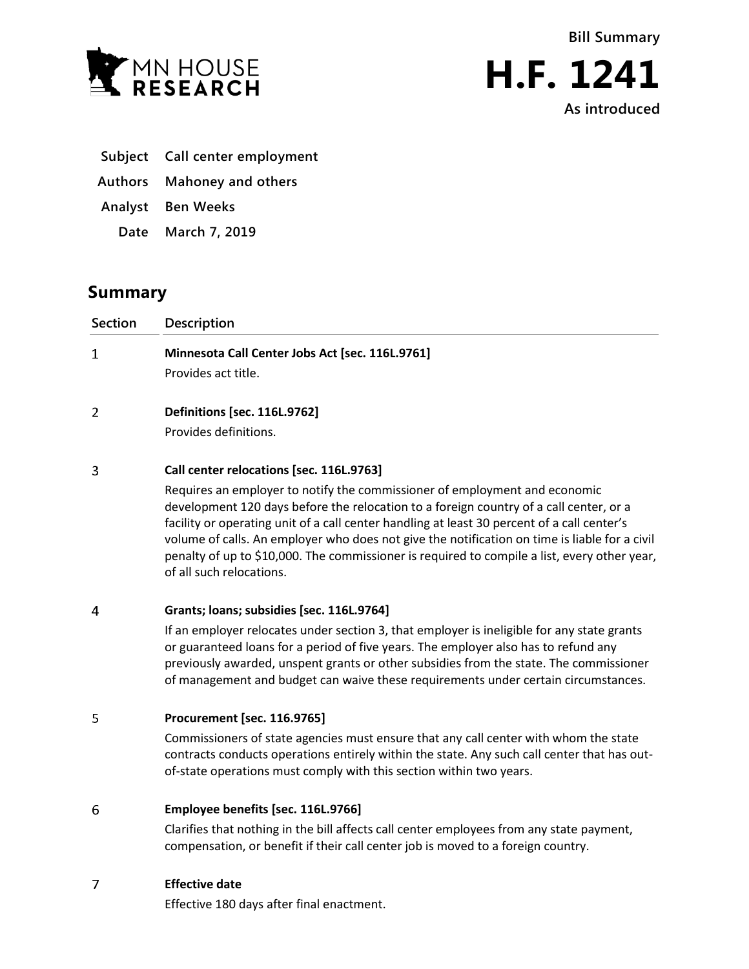



**H.F. 1241 As introduced**

- **Subject Call center employment**
- **Authors Mahoney and others**
- **Analyst Ben Weeks**
	- **Date March 7, 2019**

# **Summary**

| <b>Section</b> | Description                                                                                                                                                                                                                                                         |
|----------------|---------------------------------------------------------------------------------------------------------------------------------------------------------------------------------------------------------------------------------------------------------------------|
| 1              | Minnesota Call Center Jobs Act [sec. 116L.9761]                                                                                                                                                                                                                     |
|                | Provides act title.                                                                                                                                                                                                                                                 |
| 2              | <b>Definitions [sec. 116L.9762]</b>                                                                                                                                                                                                                                 |
|                | Provides definitions.                                                                                                                                                                                                                                               |
| 3              | Call center relocations [sec. 116L.9763]                                                                                                                                                                                                                            |
|                | Requires an employer to notify the commissioner of employment and economic<br>development 120 days before the relocation to a foreign country of a call center, or a<br>facility or operating unit of a call center bandling at laset 30 percent of a call center's |

facility or operating unit of a call center handling at least 30 percent of a call center's volume of calls. An employer who does not give the notification on time is liable for a civil penalty of up to \$10,000. The commissioner is required to compile a list, every other year, of all such relocations.

#### 4 **Grants; loans; subsidies [sec. 116L.9764]**

If an employer relocates under section 3, that employer is ineligible for any state grants or guaranteed loans for a period of five years. The employer also has to refund any previously awarded, unspent grants or other subsidies from the state. The commissioner of management and budget can waive these requirements under certain circumstances.

## 5 **Procurement [sec. 116.9765]**

Commissioners of state agencies must ensure that any call center with whom the state contracts conducts operations entirely within the state. Any such call center that has outof-state operations must comply with this section within two years.

#### 6 **Employee benefits [sec. 116L.9766]**

Clarifies that nothing in the bill affects call center employees from any state payment, compensation, or benefit if their call center job is moved to a foreign country.

## $\overline{7}$ **Effective date**

Effective 180 days after final enactment.